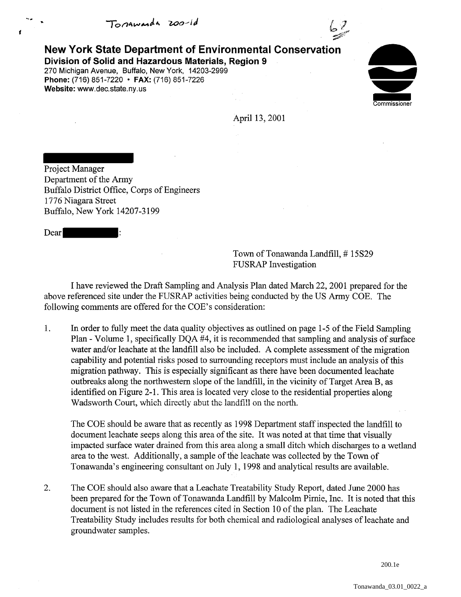Tonawarda 200-1d



New York State Department of Environmental Conservation Division of Solid and Hazardous Materials, Region 9 270 Michigan Avenue, Buffalo, New York, 14203-2999 Phone: (716) 851-7220 • FAX: (716) 851-7226 Website: www.dec.state.ny.us



April 13, 2001

Project Manager Department of the Army Buffalo District Office, Corps of Engineers 1776 Niagara Street Buffalo, New York 14207-3199

Dear

t

Town of Tonawanda Landfill,# 15S29 FUSRAP Investigation

I have reviewed the Draft Sampling and Analysis Plan dated March 22, 2001 prepared for the above referenced site under the FUSRAP activities being conducted by the US Army COE. The following comments are offered for the COE's consideration:

1. In order to fully meet the data quality objectives as outlined on page 1-5 of the Field Sampling Plan - Volume 1, specifically DQA #4, it is recommended that sampling and analysis of surface water and/or leachate at the landfill also be included. A complete assessment of the migration capability and potential risks posed to surrounding receptors must include an analysis of this migration pathway. This is especially significant as there have been documented leachate outbreaks along the northwestern slope of the landfill, in the vicinity of Target Area B, as identified on Figure 2-1. This area is located very close to the residential properties along Wadsworth Court, which directly abut the landfill on the north.

The COE should be aware that as recently as 1998 Department staff inspected the landfill to document leachate seeps along this area of the site. It was noted at that time that visually impacted surface water drained from this area along a small ditch which discharges to a wetland area to the west. Additionally, a sample of the leachate was collected by the Town of Tonawanda's engineering consultant on July 1, 1998 and analytical results are available.

2. The COE should also aware that a Leachate Treatability Study Report, dated June 2000 has been prepared for the Town of Tonawanda Landfill by Malcolm Pirnie, Inc. It is noted that this document is not listed in the references cited in Section 10 of the plan. The Leachate Treatability Study includes results for both chemical and radiological analyses of leachate and groundwater samples.